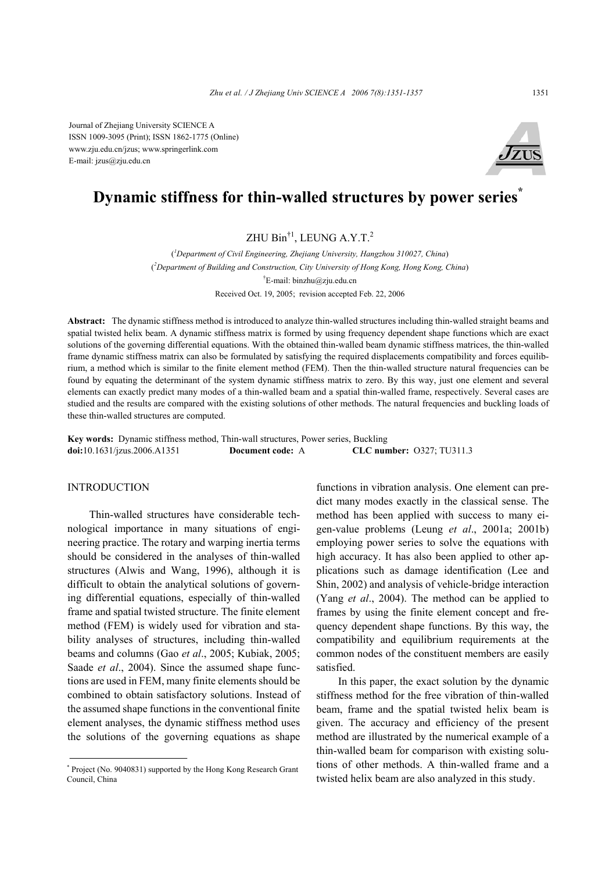Journal of Zhejiang University SCIENCE A ISSN 1009-3095 (Print); ISSN 1862-1775 (Online) www.zju.edu.cn/jzus; www.springerlink.com E-mail: jzus@zju.edu.cn



# **Dynamic stiffness for thin-walled structures by power series\***

# ZHU Bin†1, LEUNG A.Y.T.2

( *1 Department of Civil Engineering, Zhejiang University, Hangzhou 310027, China*) ( *2 Department of Building and Construction, City University of Hong Kong, Hong Kong, China*) † E-mail: binzhu@zju.edu.cn Received Oct. 19, 2005; revision accepted Feb. 22, 2006

**Abstract:** The dynamic stiffness method is introduced to analyze thin-walled structures including thin-walled straight beams and spatial twisted helix beam. A dynamic stiffness matrix is formed by using frequency dependent shape functions which are exact solutions of the governing differential equations. With the obtained thin-walled beam dynamic stiffness matrices, the thin-walled frame dynamic stiffness matrix can also be formulated by satisfying the required displacements compatibility and forces equilibrium, a method which is similar to the finite element method (FEM). Then the thin-walled structure natural frequencies can be found by equating the determinant of the system dynamic stiffness matrix to zero. By this way, just one element and several elements can exactly predict many modes of a thin-walled beam and a spatial thin-walled frame, respectively. Several cases are studied and the results are compared with the existing solutions of other methods. The natural frequencies and buckling loads of these thin-walled structures are computed.

**Key words:** Dynamic stiffness method, Thin-wall structures, Power series, Buckling **doi:**10.1631/jzus.2006.A1351 **Document code:** A **CLC number:** O327; TU311.3

### **INTRODUCTION**

Thin-walled structures have considerable technological importance in many situations of engineering practice. The rotary and warping inertia terms should be considered in the analyses of thin-walled structures (Alwis and Wang, 1996), although it is difficult to obtain the analytical solutions of governing differential equations, especially of thin-walled frame and spatial twisted structure. The finite element method (FEM) is widely used for vibration and stability analyses of structures, including thin-walled beams and columns (Gao *et al*., 2005; Kubiak, 2005; Saade *et al*., 2004). Since the assumed shape functions are used in FEM, many finite elements should be combined to obtain satisfactory solutions. Instead of the assumed shape functions in the conventional finite element analyses, the dynamic stiffness method uses the solutions of the governing equations as shape

functions in vibration analysis. One element can predict many modes exactly in the classical sense. The method has been applied with success to many eigen-value problems (Leung *et al*., 2001a; 2001b) employing power series to solve the equations with high accuracy. It has also been applied to other applications such as damage identification (Lee and Shin, 2002) and analysis of vehicle-bridge interaction (Yang *et al*., 2004). The method can be applied to frames by using the finite element concept and frequency dependent shape functions. By this way, the compatibility and equilibrium requirements at the common nodes of the constituent members are easily satisfied.

In this paper, the exact solution by the dynamic stiffness method for the free vibration of thin-walled beam, frame and the spatial twisted helix beam is given. The accuracy and efficiency of the present method are illustrated by the numerical example of a thin-walled beam for comparison with existing solutions of other methods. A thin-walled frame and a twisted helix beam are also analyzed in this study.

<sup>\*</sup> Project (No. 9040831) supported by the Hong Kong Research Grant Council, China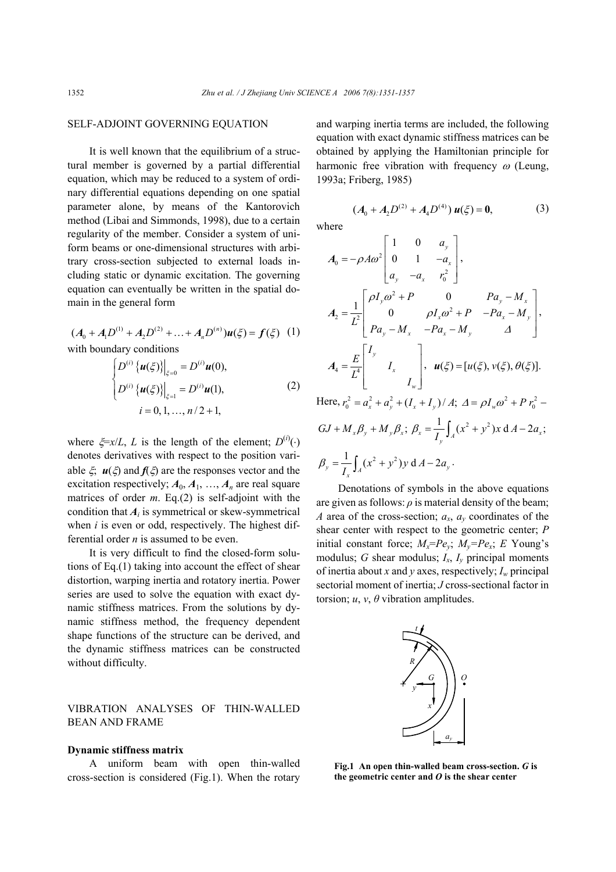where

#### SELF-ADJOINT GOVERNING EQUATION

It is well known that the equilibrium of a structural member is governed by a partial differential equation, which may be reduced to a system of ordinary differential equations depending on one spatial parameter alone, by means of the Kantorovich method (Libai and Simmonds, 1998), due to a certain regularity of the member. Consider a system of uniform beams or one-dimensional structures with arbitrary cross-section subjected to external loads including static or dynamic excitation. The governing equation can eventually be written in the spatial domain in the general form

$$
(A_0 + A_1 D^{(1)} + A_2 D^{(2)} + \dots + A_n D^{(n)})u(\xi) = f(\xi)
$$
 (1)  
with boundary conditions

$$
\left\{\n\begin{aligned}\nD^{(i)}\left\{u(\xi)\right\}\n\big|_{\xi=0} &= D^{(i)}u(0), \\
D^{(i)}\left\{u(\xi)\right\}\n\big|_{\xi=1} &= D^{(i)}u(1),\n\end{aligned}\n\right.
$$

$$
\left\{ D^{(i)} \left\{ \boldsymbol{u}(\xi) \right\} \Big|_{\xi=1} = D^{(i)} \boldsymbol{u}(1), \right\}
$$
\n
$$
i = 0, 1, ..., n/2 + 1,
$$
\n(2)

where  $\xi = x/L$ , *L* is the length of the element;  $D^{(i)}(\cdot)$ denotes derivatives with respect to the position variable  $\xi$ ,  $u(\xi)$  and  $f(\xi)$  are the responses vector and the excitation respectively;  $A_0, A_1, ..., A_n$  are real square matrices of order *m*. Eq.(2) is self-adjoint with the condition that  $A_i$  is symmetrical or skew-symmetrical when *i* is even or odd, respectively. The highest differential order *n* is assumed to be even.

It is very difficult to find the closed-form solutions of Eq.(1) taking into account the effect of shear distortion, warping inertia and rotatory inertia. Power series are used to solve the equation with exact dynamic stiffness matrices. From the solutions by dynamic stiffness method, the frequency dependent shape functions of the structure can be derived, and the dynamic stiffness matrices can be constructed without difficulty.

## VIBRATION ANALYSES OF THIN-WALLED BEAN AND FRAME

#### **Dynamic stiffness matrix**

A uniform beam with open thin-walled cross-section is considered (Fig.1). When the rotary and warping inertia terms are included, the following equation with exact dynamic stiffness matrices can be obtained by applying the Hamiltonian principle for harmonic free vibration with frequency  $\omega$  (Leung, 1993a; Friberg, 1985)

$$
(A_0 + A_2 D^{(2)} + A_4 D^{(4)}) \, u(\xi) = 0,\tag{3}
$$

$$
A_0 = -\rho A \omega^2 \begin{bmatrix} 1 & 0 & a_y \\ 0 & 1 & -a_x \\ a_y & -a_x & r_0^2 \end{bmatrix},
$$
  
\n
$$
A_2 = \frac{1}{L^2} \begin{bmatrix} \rho I_y \omega^2 + P & 0 & Pa_y - M_x \\ 0 & \rho I_x \omega^2 + P & -Pa_x - M_y \\ Pa_y - M_x & -Pa_x - M_y & \Delta \end{bmatrix},
$$
  
\n
$$
A_4 = \frac{E}{L^4} \begin{bmatrix} I_y & 0 & \mu(\xi) = [u(\xi), v(\xi), \theta(\xi)].
$$
  
\nHere,  $r_0^2 = a_x^2 + a_y^2 + (I_x + I_y) / A; \ \Delta = \rho I_w \omega^2 + P r_0^2 - P$ 

$$
GJ + M_x \beta_y + M_y \beta_x; \ \beta_x = \frac{1}{I_y} \int_A (x^2 + y^2) x \, dA - 2a_x;
$$
  

$$
\beta_y = \frac{1}{I_x} \int_A (x^2 + y^2) y \, dA - 2a_y.
$$

Denotations of symbols in the above equations are given as follows:  $\rho$  is material density of the beam; *A* area of the cross-section; *ax*, *ay* coordinates of the shear center with respect to the geometric center; *P* initial constant force;  $M_x = Pe_y$ ;  $M_y = Pe_x$ ; *E* Young's modulus; *G* shear modulus; *Ix*, *Iy* principal moments of inertia about *x* and *y* axes, respectively; *Iw* principal sectorial moment of inertia; *J* cross-sectional factor in torsion;  $u, v, \theta$  vibration amplitudes.



**Fig.1 An open thin-walled beam cross-section.** *G* **is the geometric center and** *O* **is the shear center**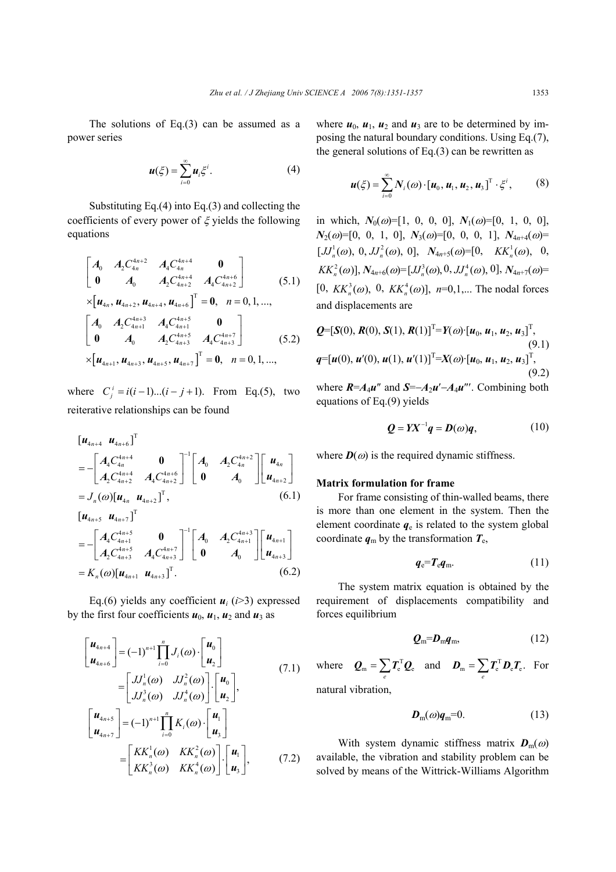The solutions of Eq.(3) can be assumed as a power series

$$
\boldsymbol{u}(\xi) = \sum_{i=0}^{\infty} \boldsymbol{u}_i \xi^i.
$$
 (4)

Substituting Eq.(4) into Eq.(3) and collecting the coefficients of every power of  $\xi$  yields the following equations

$$
\begin{bmatrix}\nA_0 & A_2 C_{4n}^{4n+2} & A_4 C_{4n}^{4n+4} & 0 \\
0 & A_0 & A_2 C_{4n+2}^{4n+4} & A_4 C_{4n+2}^{4n+6}\n\end{bmatrix}
$$
\n
$$
\times \begin{bmatrix}\n\mathbf{u}_{4n}, \mathbf{u}_{4n+2}, \mathbf{u}_{4n+4}, \mathbf{u}_{4n+6}\n\end{bmatrix}^{\text{T}} = \mathbf{0}, \quad n = 0, 1, \dots,
$$
\n
$$
\begin{bmatrix}\nA_0 & A_2 C_{4n+1}^{4n+3} & A_4 C_{4n+1}^{4n+5} & 0 \\
0 & A_0 & A_2 C_{4n+3}^{4n+5} & A_4 C_{4n+3}^{4n+7}\n\end{bmatrix}
$$
\n
$$
\times \begin{bmatrix}\n\mathbf{u}_{4n+1}, \mathbf{u}_{4n+3}, \mathbf{u}_{4n+5}, \mathbf{u}_{4n+7}\n\end{bmatrix}^{\text{T}} = \mathbf{0}, \quad n = 0, 1, \dots,
$$
\n(5.2)

where  $C_i^i = i(i-1)...(i-j+1)$ . From Eq.(5), two reiterative relationships can be found

$$
\begin{aligned}\n[\mathbf{u}_{4n+4} \ \mathbf{u}_{4n+6}]^{\text{T}} \\
&= -\begin{bmatrix} A_4 C_{4n}^{4n+4} & 0 \\ A_2 C_{4n+2}^{4n+4} & A_4 C_{4n+2}^{4n+6} \end{bmatrix}^{-1} \begin{bmatrix} A_0 & A_2 C_{4n}^{4n+2} \\ 0 & A_0 \end{bmatrix} \begin{bmatrix} \mathbf{u}_{4n} \\ \mathbf{u}_{4n+2} \end{bmatrix} \\
&= J_n(\omega) [\mathbf{u}_{4n} \ \mathbf{u}_{4n+2}]^{\text{T}}, \qquad (6.1) \\
[\mathbf{u}_{4n+5} \ \mathbf{u}_{4n+7}]^{\text{T}} \\
&= -\begin{bmatrix} A_4 C_{4n+1}^{4n+5} & 0 \\ A_2 C_{4n+3}^{4n+5} & A_4 C_{4n+3}^{4n+7} \end{bmatrix}^{-1} \begin{bmatrix} A_0 & A_2 C_{4n+1}^{4n+3} \\ 0 & A_0 \end{bmatrix} \begin{bmatrix} \mathbf{u}_{4n+1} \\ \mathbf{u}_{4n+3} \end{bmatrix} \\
&= K_n(\omega) [\mathbf{u}_{4n+1} \ \mathbf{u}_{4n+3}]^{\text{T}}. \qquad (6.2)\n\end{aligned}
$$

Eq.(6) yields any coefficient  $u_i$  (*i*>3) expressed by the first four coefficients  $u_0$ ,  $u_1$ ,  $u_2$  and  $u_3$  as

$$
\begin{bmatrix}\n\mathbf{u}_{4n+4} \\
\mathbf{u}_{4n+6}\n\end{bmatrix} = (-1)^{n+1} \prod_{i=0}^{n} J_i(\omega) \cdot \begin{bmatrix}\n\mathbf{u}_0 \\
\mathbf{u}_2\n\end{bmatrix}
$$
\n
$$
= \begin{bmatrix}\nJ_n^1(\omega) & J J_n^2(\omega) \\
J J_n^3(\omega) & J J_n^4(\omega)\n\end{bmatrix} \cdot \begin{bmatrix}\n\mathbf{u}_0 \\
\mathbf{u}_2\n\end{bmatrix},
$$
\n
$$
\begin{bmatrix}\n\mathbf{u}_{4n+5} \\
\mathbf{u}_{4n+7}\n\end{bmatrix} = (-1)^{n+1} \prod_{i=0}^{n} K_i(\omega) \cdot \begin{bmatrix}\n\mathbf{u}_1 \\
\mathbf{u}_3\n\end{bmatrix}
$$
\n
$$
= \begin{bmatrix}\nKK_n^1(\omega) & KK_n^2(\omega) \\
KK_n^3(\omega) & KK_n^4(\omega)\n\end{bmatrix} \cdot \begin{bmatrix}\n\mathbf{u}_1 \\
\mathbf{u}_3\n\end{bmatrix},
$$
\n(7.2)

where  $u_0$ ,  $u_1$ ,  $u_2$  and  $u_3$  are to be determined by imposing the natural boundary conditions. Using Eq.(7), the general solutions of Eq. $(3)$  can be rewritten as

$$
\boldsymbol{u}(\boldsymbol{\xi}) = \sum_{i=0}^{\infty} N_i(\boldsymbol{\omega}) \cdot [\boldsymbol{u}_0, \boldsymbol{u}_1, \boldsymbol{u}_2, \boldsymbol{u}_3]^{\mathrm{T}} \cdot \boldsymbol{\xi}^i, \qquad (8)
$$

in which,  $N_0(\omega) = [1, 0, 0, 0], N_1(\omega) = [0, 1, 0, 0],$  $N_2(\omega)=[0, 0, 1, 0], N_3(\omega)=[0, 0, 0, 1], N_{4n+4}(\omega)$  $[JJ_n^1(\omega), 0, JJ_n^2(\omega), 0], N_{4n+5}(\omega) = [0, KK_n^1(\omega), 0,$  $KK_n^2(\omega)$ ,  $N_{4n+6}(\omega) = [J_n^3(\omega), 0, J_n^4(\omega), 0]$ ,  $N_{4n+7}(\omega) =$  $[0, KK_n^3(\omega), 0, KK_n^4(\omega)],$  *n*=0,1,... The nodal forces and displacements are

$$
Q=[S(0), R(0), S(1), R(1)]^T=Y(\omega) \cdot [u_0, u_1, u_2, u_3]^T,
$$
\n(9.1)  
\n
$$
q=[u(0), u'(0), u(1), u'(1)]^T=X(\omega) \cdot [u_0, u_1, u_2, u_3]^T,
$$
\n(9.2)

where  $R = A_4 u''$  and  $S = -A_2 u' - A_4 u'''$ . Combining both equations of Eq.(9) yields

$$
Q = YX^{-1}q = D(\omega)q, \qquad (10)
$$

where  $\mathbf{D}(\omega)$  is the required dynamic stiffness.

#### **Matrix formulation for frame**

For frame consisting of thin-walled beams, there is more than one element in the system. Then the element coordinate  $q_e$  is related to the system global coordinate  $q_m$  by the transformation  $T_e$ ,

$$
q_{\rm e} = T_{\rm e} q_{\rm m}. \tag{11}
$$

The system matrix equation is obtained by the requirement of displacements compatibility and forces equilibrium

$$
Q_{\rm m} = D_{\rm m} q_{\rm m},\tag{12}
$$

where  $Q_m = \sum_e T_e^T Q_e$  and  $D_m = \sum_e T_e^T D_e T_e$ . For natural vibration,

$$
D_{\rm m}(\omega)q_{\rm m}=0.\tag{13}
$$

With system dynamic stiffness matrix  $\mathbf{D}_{m}(\omega)$ available, the vibration and stability problem can be solved by means of the Wittrick-Williams Algorithm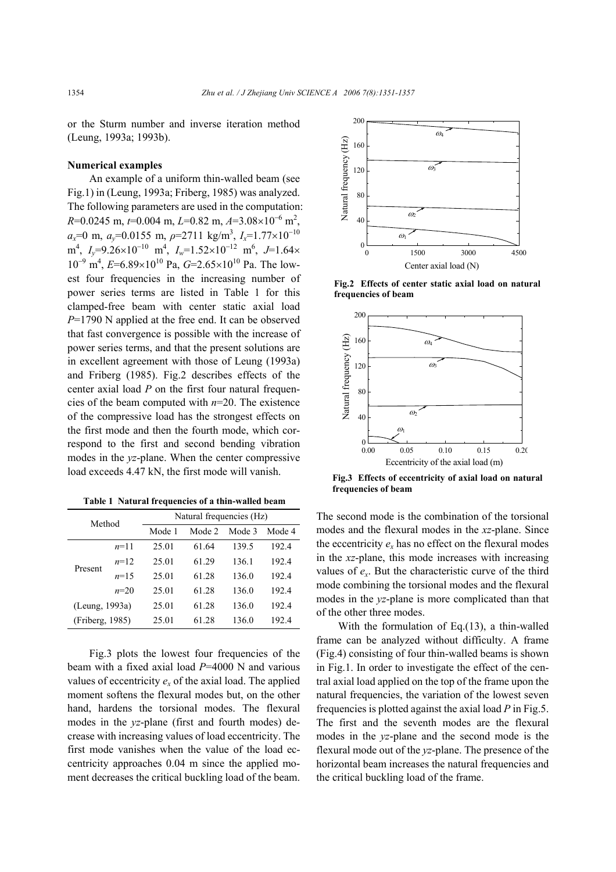or the Sturm number and inverse iteration method (Leung, 1993a; 1993b).

#### **Numerical examples**

An example of a uniform thin-walled beam (see Fig.1) in (Leung, 1993a; Friberg, 1985) was analyzed. The following parameters are used in the computation: *R*=0.0245 m, *t*=0.004 m, *L*=0.82 m, *A*=3.08×10<sup>-6</sup> m<sup>2</sup>, *ax*=0 m, *ay*=0.0155 m, *ρ*=2711 kg/m3 , *Ix*=1.77×10<sup>−</sup><sup>10</sup> m<sup>4</sup>, *I<sub>y</sub>*=9.26×10<sup>-10</sup> m<sup>4</sup>, *I<sub>w</sub>*=1.52×10<sup>-12</sup> m<sup>6</sup>, *J*=1.64× 10<sup>-9</sup> m<sup>4</sup>, *E*=6.89×10<sup>10</sup> Pa, *G*=2.65×10<sup>10</sup> Pa. The lowest four frequencies in the increasing number of power series terms are listed in Table 1 for this clamped-free beam with center static axial load *P*=1790 N applied at the free end. It can be observed that fast convergence is possible with the increase of power series terms, and that the present solutions are in excellent agreement with those of Leung (1993a) and Friberg (1985). Fig.2 describes effects of the center axial load *P* on the first four natural frequencies of the beam computed with *n*=20. The existence of the compressive load has the strongest effects on the first mode and then the fourth mode, which correspond to the first and second bending vibration modes in the *yz*-plane. When the center compressive load exceeds 4.47 kN, the first mode will vanish.

|  |  | Table 1 Natural frequencies of a thin-walled beam |  |  |  |  |  |  |
|--|--|---------------------------------------------------|--|--|--|--|--|--|
|--|--|---------------------------------------------------|--|--|--|--|--|--|

| Method          |        | Natural frequencies (Hz) |        |        |        |  |  |  |
|-----------------|--------|--------------------------|--------|--------|--------|--|--|--|
|                 |        | Mode 1                   | Mode 2 | Mode 3 | Mode 4 |  |  |  |
| Present         | $n=11$ | 25.01                    | 61.64  | 139.5  | 192.4  |  |  |  |
|                 | $n=12$ | 25.01                    | 61.29  | 136.1  | 192.4  |  |  |  |
|                 | $n=15$ | 25.01                    | 61 28  | 136.0  | 192.4  |  |  |  |
|                 | $n=20$ | 25.01                    | 61 28  | 136.0  | 192.4  |  |  |  |
| (Leung, 1993a)  |        | 25.01                    | 61.28  | 136.0  | 192.4  |  |  |  |
| (Friberg, 1985) |        | 25.01                    | 61.28  | 136.0  | 192.4  |  |  |  |

Fig.3 plots the lowest four frequencies of the beam with a fixed axial load *P*=4000 N and various values of eccentricity  $e<sub>x</sub>$  of the axial load. The applied moment softens the flexural modes but, on the other hand, hardens the torsional modes. The flexural modes in the *yz*-plane (first and fourth modes) decrease with increasing values of load eccentricity. The first mode vanishes when the value of the load eccentricity approaches 0.04 m since the applied moment decreases the critical buckling load of the beam.



**Fig.2 Effects of center static axial load on natural frequencies of beam**



**Fig.3 Effects of eccentricity of axial load on natural frequencies of beam**

The second mode is the combination of the torsional modes and the flexural modes in the *xz*-plane. Since the eccentricity  $e_x$  has no effect on the flexural modes in the *xz*-plane, this mode increases with increasing values of  $e_x$ . But the characteristic curve of the third mode combining the torsional modes and the flexural modes in the *yz*-plane is more complicated than that of the other three modes.

With the formulation of Eq.(13), a thin-walled frame can be analyzed without difficulty. A frame (Fig.4) consisting of four thin-walled beams is shown in Fig.1. In order to investigate the effect of the central axial load applied on the top of the frame upon the natural frequencies, the variation of the lowest seven frequencies is plotted against the axial load *P* in Fig.5. The first and the seventh modes are the flexural modes in the *yz*-plane and the second mode is the flexural mode out of the *yz*-plane. The presence of the horizontal beam increases the natural frequencies and the critical buckling load of the frame.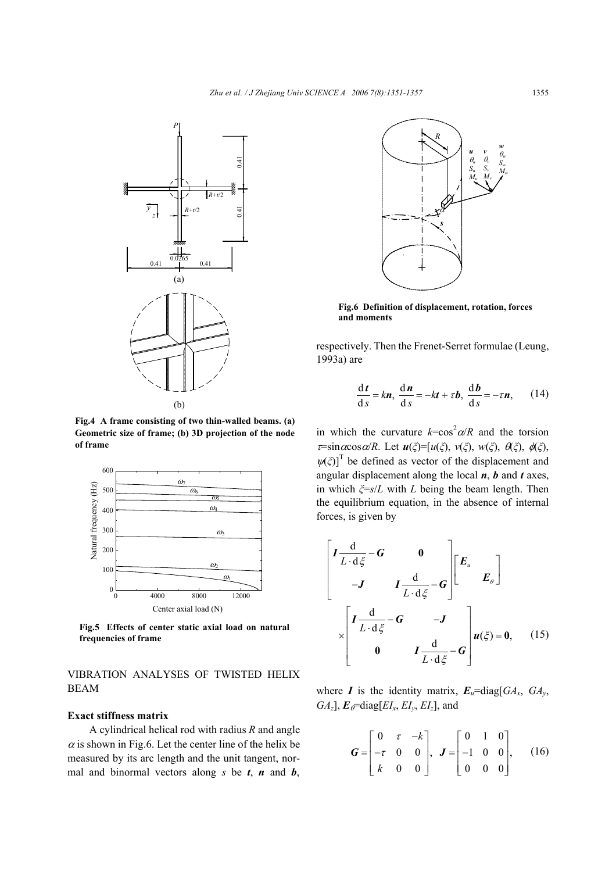

**Fig.4 A frame consisting of two thin-walled beams. (a) Geometric size of frame; (b) 3D projection of the node of frame**



**Fig.5 Effects of center static axial load on natural frequencies of frame**

VIBRATION ANALYSES OF TWISTED HELIX BEAM

#### **Exact stiffness matrix**

A cylindrical helical rod with radius *R* and angle  $\alpha$  is shown in Fig.6. Let the center line of the helix be measured by its arc length and the unit tangent, normal and binormal vectors along  $s$  be  $t$ ,  $n$  and  $b$ ,



**Fig.6 Definition of displacement, rotation, forces and moments**

respectively. Then the Frenet-Serret formulae (Leung, 1993a) are

$$
\frac{\mathrm{d}t}{\mathrm{d}s} = k\boldsymbol{n}, \frac{\mathrm{d}\boldsymbol{n}}{\mathrm{d}s} = -k\boldsymbol{t} + \tau\boldsymbol{b}, \frac{\mathrm{d}\boldsymbol{b}}{\mathrm{d}s} = -\tau\boldsymbol{n}, \qquad (14)
$$

in which the curvature  $k = \cos^2 \alpha / R$  and the torsion <sup>τ</sup>=sinαcosα/*R*. Let *u*(*ξ*)=[*u*(*ξ*), *v*(*ξ*), *w*(*ξ*), θ(*ξ*), φ(*ξ*),  $\psi(\xi)$ <sup>T</sup> be defined as vector of the displacement and angular displacement along the local *n*, *b* and *t* axes, in which *ξ*=*s*/*L* with *L* being the beam length. Then the equilibrium equation, in the absence of internal forces, is given by

$$
\begin{bmatrix}\nI \frac{d}{L \cdot d \xi} - G & 0 \\
-J & I \frac{d}{L \cdot d \xi} - G\n\end{bmatrix}\n\begin{bmatrix}\nE_u \\
E_\theta\n\end{bmatrix}
$$
\n
$$
\times \begin{bmatrix}\nI \frac{d}{L \cdot d \xi} - G & -J \\
0 & I \frac{d}{L \cdot d \xi} - G\n\end{bmatrix} u(\xi) = 0, \quad (15)
$$

where *I* is the identity matrix,  $E_u = \text{diag}[GA_x, GA_y,$  $GA_z$ ],  $E_\theta$ =diag[ $EI_x$ ,  $EI_y$ ,  $EI_z$ ], and

$$
\mathbf{G} = \begin{bmatrix} 0 & \tau & -k \\ -\tau & 0 & 0 \\ k & 0 & 0 \end{bmatrix}, \quad \mathbf{J} = \begin{bmatrix} 0 & 1 & 0 \\ -1 & 0 & 0 \\ 0 & 0 & 0 \end{bmatrix}, \qquad (16)
$$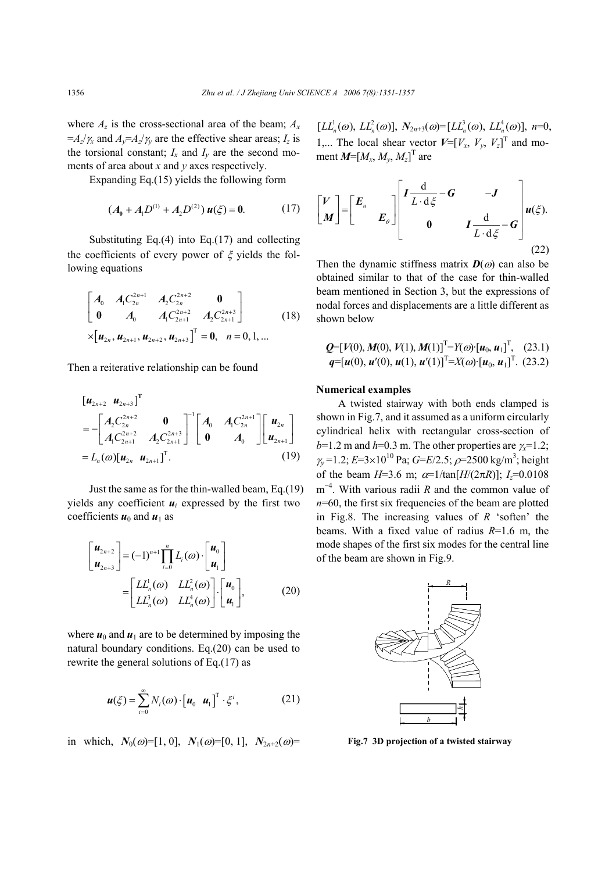where  $A_z$  is the cross-sectional area of the beam;  $A_x$  $=$ *A<sub>z</sub>*/ $\gamma$ <sub>*x*</sub> and *A<sub>v</sub>*=*A<sub>z</sub>*/ $\gamma$ <sub>*y*</sub> are the effective shear areas; *I<sub>z</sub>* is the torsional constant;  $I_x$  and  $I_y$  are the second moments of area about *x* and *y* axes respectively.

Expanding Eq.(15) yields the following form

$$
(A_0 + A_1 D^{(1)} + A_2 D^{(2)}) u(\xi) = 0.
$$
 (17)

Substituting Eq. $(4)$  into Eq. $(17)$  and collecting the coefficients of every power of  $\xi$  yields the following equations

$$
\begin{bmatrix}\nA_0 & A_1 C_{2n}^{2n+1} & A_2 C_{2n}^{2n+2} & \mathbf{0} \\
\mathbf{0} & A_0 & A_1 C_{2n+1}^{2n+2} & A_2 C_{2n+1}^{2n+3}\n\end{bmatrix}
$$
\n
$$
\times \begin{bmatrix}\n\mathbf{u}_{2n}, \mathbf{u}_{2n+1}, \mathbf{u}_{2n+2}, \mathbf{u}_{2n+3}\n\end{bmatrix}^T = \mathbf{0}, \quad n = 0, 1, \dots
$$
\n(18)

Then a reiterative relationship can be found

$$
\begin{bmatrix} \mathbf{u}_{2n+2} & \mathbf{u}_{2n+3} \end{bmatrix}^{\mathrm{T}}
$$
\n
$$
= - \begin{bmatrix} A_2 C_{2n}^{2n+2} & \mathbf{0} \\ A_1 C_{2n+1}^{2n+2} & A_2 C_{2n+3}^{2n+3} \end{bmatrix}^{-1} \begin{bmatrix} A_0 & A_1 C_{2n}^{2n+1} \\ \mathbf{0} & A_0 \end{bmatrix} \begin{bmatrix} \mathbf{u}_{2n} \\ \mathbf{u}_{2n+1} \end{bmatrix}
$$
\n
$$
= L_n(\omega) [\mathbf{u}_{2n} \ \mathbf{u}_{2n+1}]^{\mathrm{T}}.
$$
\n(19)

Just the same as for the thin-walled beam, Eq.(19) yields any coefficient  $u_i$  expressed by the first two coefficients  $u_0$  and  $u_1$  as

$$
\begin{bmatrix} \mathbf{u}_{2n+2} \\ \mathbf{u}_{2n+3} \end{bmatrix} = (-1)^{n+1} \prod_{i=0}^{n} L_i(\omega) \cdot \begin{bmatrix} \mathbf{u}_0 \\ \mathbf{u}_1 \end{bmatrix}
$$

$$
= \begin{bmatrix} LL_n^1(\omega) & LL_n^2(\omega) \\ LL_n^3(\omega) & LL_n^4(\omega) \end{bmatrix} \cdot \begin{bmatrix} \mathbf{u}_0 \\ \mathbf{u}_1 \end{bmatrix},
$$
(20)

where  $u_0$  and  $u_1$  are to be determined by imposing the natural boundary conditions. Eq.(20) can be used to rewrite the general solutions of Eq.(17) as

$$
\boldsymbol{u}(\xi) = \sum_{i=0}^{\infty} N_i(\omega) \cdot \begin{bmatrix} \boldsymbol{u}_0 & \boldsymbol{u}_1 \end{bmatrix}^{\mathrm{T}} \cdot \xi^i, \tag{21}
$$

in which,  $N_0(\omega) = [1, 0], N_1(\omega) = [0, 1], N_{2n+2}(\omega) =$ 

 $[LL_{n}^{1}(\omega), LL_{n}^{2}(\omega)],$   $N_{2n+3}(\omega)=[LL_{n}^{3}(\omega), LL_{n}^{4}(\omega)],$   $n=0,$ 1,... The local shear vector  $V=[V_x, V_y, V_z]^T$  and moment  $M=[M_x, M_y, M_z]^T$  are

$$
\begin{bmatrix} V \\ M \end{bmatrix} = \begin{bmatrix} E_u & & \\ & E_\theta \end{bmatrix} \begin{bmatrix} I \frac{d}{L \cdot d \xi} - G & -J \\ & 0 & I \frac{d}{L \cdot d \xi} - G \end{bmatrix} u(\xi).
$$
\n(22)

Then the dynamic stiffness matrix  $D(\omega)$  can also be obtained similar to that of the case for thin-walled beam mentioned in Section 3, but the expressions of nodal forces and displacements are a little different as shown below

$$
Q=[V(0), M(0), V(1), M(1)]T=Y(\omega) \cdot [u_0, u_1]T, (23.1)
$$
  
q=[u(0), u'(0), u(1), u'(1)]<sup>T</sup>=X(\omega) \cdot [u\_0, u\_1]<sup>T</sup>. (23.2)

#### **Numerical examples**

A twisted stairway with both ends clamped is shown in Fig.7, and it assumed as a uniform circularly cylindrical helix with rectangular cross-section of *b*=1.2 m and *h*=0.3 m. The other properties are  $\chi$ =1.2; <sup>γ</sup>*y* =1.2; *E*=3×1010 Pa; *G*=*E*/2.5; ρ=2500 kg/m3 ; height of the beam  $H=3.6$  m;  $\alpha=1/\tan[H/(2\pi R)]$ ;  $I=0.0108$ m<sup>-4</sup>. With various radii *R* and the common value of *n*=60, the first six frequencies of the beam are plotted in Fig.8. The increasing values of *R* 'soften' the beams. With a fixed value of radius *R*=1.6 m, the mode shapes of the first six modes for the central line of the beam are shown in Fig.9.



**Fig.7 3D projection of a twisted stairway**